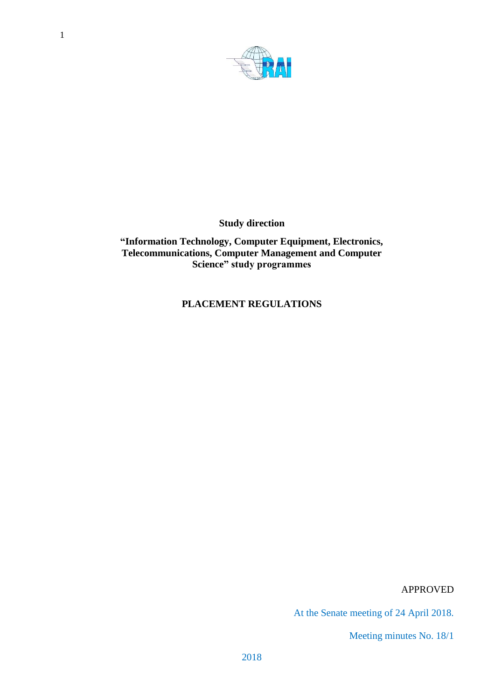

**Study direction**

**"Information Technology, Computer Equipment, Electronics, Telecommunications, Computer Management and Computer Science" study programmes**

**PLACEMENT REGULATIONS**

APPROVED

At the Senate meeting of 24 April 2018.

Meeting minutes No. 18/1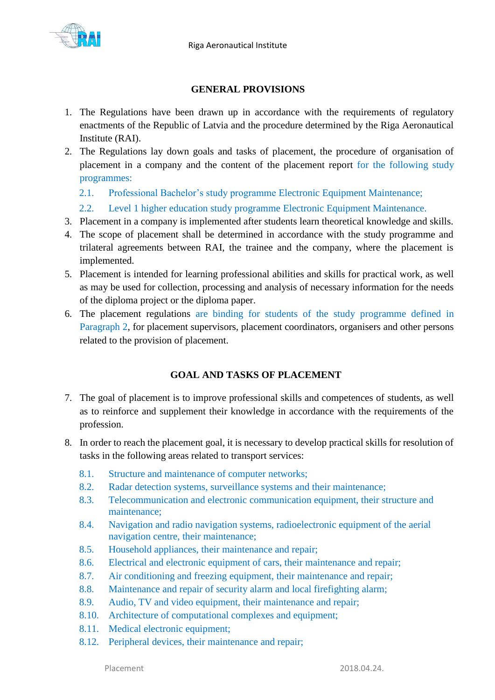

### **GENERAL PROVISIONS**

- 1. The Regulations have been drawn up in accordance with the requirements of regulatory enactments of the Republic of Latvia and the procedure determined by the Riga Aeronautical Institute (RAI).
- 2. The Regulations lay down goals and tasks of placement, the procedure of organisation of placement in a company and the content of the placement report for the following study programmes:
	- 2.1. Professional Bachelor's study programme Electronic Equipment Maintenance;
	- 2.2. Level 1 higher education study programme Electronic Equipment Maintenance.
- 3. Placement in a company is implemented after students learn theoretical knowledge and skills.
- 4. The scope of placement shall be determined in accordance with the study programme and trilateral agreements between RAI, the trainee and the company, where the placement is implemented.
- 5. Placement is intended for learning professional abilities and skills for practical work, as well as may be used for collection, processing and analysis of necessary information for the needs of the diploma project or the diploma paper.
- 6. The placement regulations are binding for students of the study programme defined in Paragraph 2, for placement supervisors, placement coordinators, organisers and other persons related to the provision of placement.

## **GOAL AND TASKS OF PLACEMENT**

- 7. The goal of placement is to improve professional skills and competences of students, as well as to reinforce and supplement their knowledge in accordance with the requirements of the profession.
- 8. In order to reach the placement goal, it is necessary to develop practical skills for resolution of tasks in the following areas related to transport services:
	- 8.1. Structure and maintenance of computer networks;
	- 8.2. Radar detection systems, surveillance systems and their maintenance;
	- 8.3. Telecommunication and electronic communication equipment, their structure and maintenance;
	- 8.4. Navigation and radio navigation systems, radioelectronic equipment of the aerial navigation centre, their maintenance;
	- 8.5. Household appliances, their maintenance and repair;
	- 8.6. Electrical and electronic equipment of cars, their maintenance and repair;
	- 8.7. Air conditioning and freezing equipment, their maintenance and repair;
	- 8.8. Maintenance and repair of security alarm and local firefighting alarm;
	- 8.9. Audio, TV and video equipment, their maintenance and repair;
	- 8.10. Architecture of computational complexes and equipment;
	- 8.11. Medical electronic equipment;
	- 8.12. Peripheral devices, their maintenance and repair;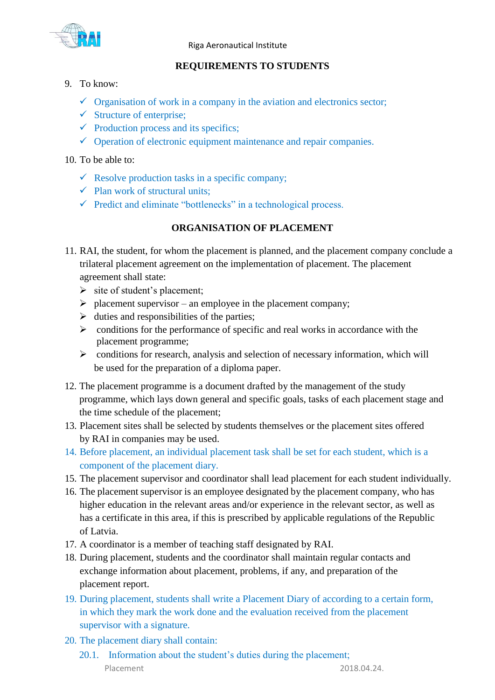

Riga Aeronautical Institute

## **REQUIREMENTS TO STUDENTS**

- 9. To know:
	- $\checkmark$  Organisation of work in a company in the aviation and electronics sector;
	- $\checkmark$  Structure of enterprise;
	- $\checkmark$  Production process and its specifics;
	- $\checkmark$  Operation of electronic equipment maintenance and repair companies.
- 10. To be able to:
	- $\checkmark$  Resolve production tasks in a specific company;
	- $\checkmark$  Plan work of structural units;
	- $\checkmark$  Predict and eliminate "bottlenecks" in a technological process.

# **ORGANISATION OF PLACEMENT**

- 11. RAI, the student, for whom the placement is planned, and the placement company conclude a trilateral placement agreement on the implementation of placement. The placement agreement shall state:
	- $\triangleright$  site of student's placement;
	- $\triangleright$  placement supervisor an employee in the placement company;
	- $\triangleright$  duties and responsibilities of the parties;
	- $\triangleright$  conditions for the performance of specific and real works in accordance with the placement programme;
	- $\triangleright$  conditions for research, analysis and selection of necessary information, which will be used for the preparation of a diploma paper.
- 12. The placement programme is a document drafted by the management of the study programme, which lays down general and specific goals, tasks of each placement stage and the time schedule of the placement;
- 13. Placement sites shall be selected by students themselves or the placement sites offered by RAI in companies may be used.
- 14. Before placement, an individual placement task shall be set for each student, which is a component of the placement diary.
- 15. The placement supervisor and coordinator shall lead placement for each student individually.
- 16. The placement supervisor is an employee designated by the placement company, who has higher education in the relevant areas and/or experience in the relevant sector, as well as has a certificate in this area, if this is prescribed by applicable regulations of the Republic of Latvia.
- 17. A coordinator is a member of teaching staff designated by RAI.
- 18. During placement, students and the coordinator shall maintain regular contacts and exchange information about placement, problems, if any, and preparation of the placement report.
- 19. During placement, students shall write a Placement Diary of according to a certain form, in which they mark the work done and the evaluation received from the placement supervisor with a signature.
- 20. The placement diary shall contain:
	- Placement 2018.04.24. 20.1. Information about the student's duties during the placement;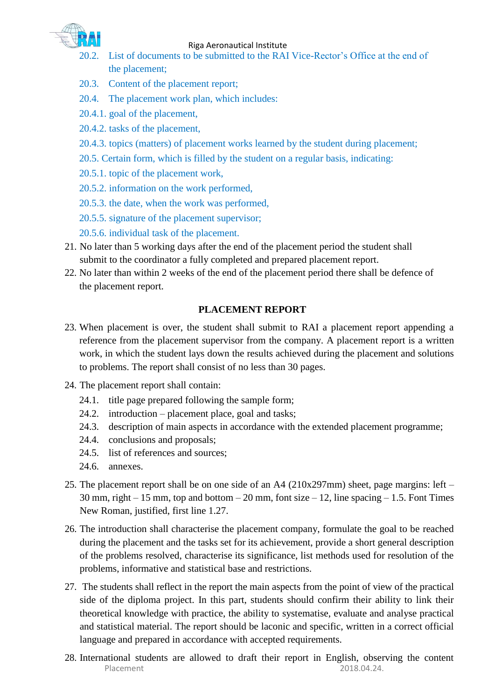

#### Riga Aeronautical Institute

- 20.2. List of documents to be submitted to the RAI Vice-Rector's Office at the end of the placement;
- 20.3. Content of the placement report;
- 20.4. The placement work plan, which includes:
- 20.4.1. goal of the placement,
- 20.4.2. tasks of the placement,
- 20.4.3. topics (matters) of placement works learned by the student during placement;
- 20.5. Certain form, which is filled by the student on a regular basis, indicating:
- 20.5.1. topic of the placement work,
- 20.5.2. information on the work performed,
- 20.5.3. the date, when the work was performed,
- 20.5.5. signature of the placement supervisor;
- 20.5.6. individual task of the placement.
- 21. No later than 5 working days after the end of the placement period the student shall submit to the coordinator a fully completed and prepared placement report.
- 22. No later than within 2 weeks of the end of the placement period there shall be defence of the placement report.

### **PLACEMENT REPORT**

- 23. When placement is over, the student shall submit to RAI a placement report appending a reference from the placement supervisor from the company. A placement report is a written work, in which the student lays down the results achieved during the placement and solutions to problems. The report shall consist of no less than 30 pages.
- 24. The placement report shall contain:
	- 24.1. title page prepared following the sample form;
	- 24.2. introduction placement place, goal and tasks;
	- 24.3. description of main aspects in accordance with the extended placement programme;
	- 24.4. conclusions and proposals;
	- 24.5. list of references and sources;
	- 24.6. annexes.
- 25. The placement report shall be on one side of an A4 (210x297mm) sheet, page margins: left 30 mm, right  $-15$  mm, top and bottom  $-20$  mm, font size  $-12$ , line spacing  $-1.5$ . Font Times New Roman, justified, first line 1.27.
- 26. The introduction shall characterise the placement company, formulate the goal to be reached during the placement and the tasks set for its achievement, provide a short general description of the problems resolved, characterise its significance, list methods used for resolution of the problems, informative and statistical base and restrictions.
- 27. The students shall reflect in the report the main aspects from the point of view of the practical side of the diploma project. In this part, students should confirm their ability to link their theoretical knowledge with practice, the ability to systematise, evaluate and analyse practical and statistical material. The report should be laconic and specific, written in a correct official language and prepared in accordance with accepted requirements.
- Placement 2018.04.24. 28. International students are allowed to draft their report in English, observing the content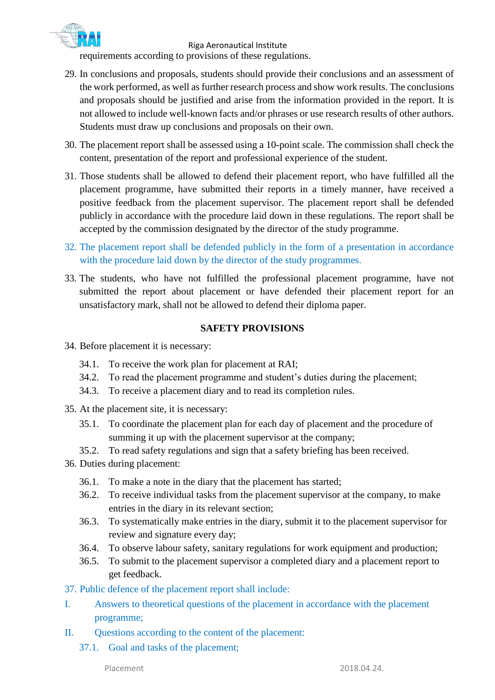

Riga Aeronautical Institute requirements according to provisions of these regulations.

- 29. In conclusions and proposals, students should provide their conclusions and an assessment of the work performed, as well as further research process and show work results. The conclusions and proposals should be justified and arise from the information provided in the report. It is not allowed to include well-known facts and/or phrases or use research results of other authors. Students must draw up conclusions and proposals on their own.
- 30. The placement report shall be assessed using a 10-point scale. The commission shall check the content, presentation of the report and professional experience of the student.
- 31. Those students shall be allowed to defend their placement report, who have fulfilled all the placement programme, have submitted their reports in a timely manner, have received a positive feedback from the placement supervisor. The placement report shall be defended publicly in accordance with the procedure laid down in these regulations. The report shall be accepted by the commission designated by the director of the study programme.
- 32. The placement report shall be defended publicly in the form of a presentation in accordance with the procedure laid down by the director of the study programmes.
- 33. The students, who have not fulfilled the professional placement programme, have not submitted the report about placement or have defended their placement report for an unsatisfactory mark, shall not be allowed to defend their diploma paper.

### **SAFETY PROVISIONS**

- 34. Before placement it is necessary:
	- 34.1. To receive the work plan for placement at RAI;
	- 34.2. To read the placement programme and student's duties during the placement;
	- 34.3. To receive a placement diary and to read its completion rules.
- 35. At the placement site, it is necessary:
	- 35.1. To coordinate the placement plan for each day of placement and the procedure of summing it up with the placement supervisor at the company;
	- 35.2. To read safety regulations and sign that a safety briefing has been received.
- 36. Duties during placement:
	- 36.1. To make a note in the diary that the placement has started;
	- 36.2. To receive individual tasks from the placement supervisor at the company, to make entries in the diary in its relevant section;
	- 36.3. To systematically make entries in the diary, submit it to the placement supervisor for review and signature every day;
	- 36.4. To observe labour safety, sanitary regulations for work equipment and production;
	- 36.5. To submit to the placement supervisor a completed diary and a placement report to get feedback.
- 37. Public defence of the placement report shall include:
- I. Answers to theoretical questions of the placement in accordance with the placement programme;
- II. Questions according to the content of the placement:
	- 37.1. Goal and tasks of the placement;